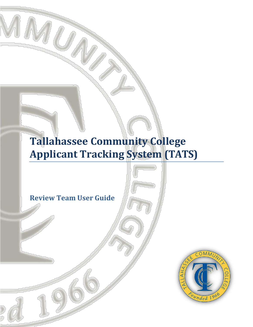# **Tallahassee Community College Applicant Tracking System (TATS)**

**Review Team User Guide**

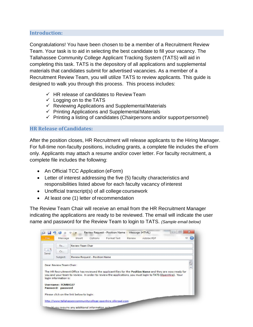#### **Introduction:**

Congratulations! You have been chosen to be a member of a Recruitment Review Team. Your task is to aid in selecting the best candidate to fill your vacancy. The Tallahassee Community College Applicant Tracking System (TATS) will aid in completing this task. TATS is the depository of all applications and supplemental materials that candidates submit for advertised vacancies. As a member of a Recruitment Review Team, you will utilize TATS to review applicants. This guide is designed to walk you through this process. This process includes:

- $\checkmark$  HR release of candidates to Review Team
- $\checkmark$  Logging on to the TATS
- $\checkmark$  Reviewing Applications and Supplemental Materials
- $\checkmark$  Printing Applications and Supplemental Materials
- $\checkmark$  Printing a listing of candidates (Chairpersons and/or support personnel)

#### **HR Release ofCandidates:**

After the position closes, HR Recruitment will release applicants to the Hiring Manager. For full-time non-faculty positions, including grants, a complete file includes the eForm only. Applicants may attach a resume and/or cover letter. For faculty recruitment, a complete file includes the following:

- An Official TCC Application (eForm)
- Letter of interest addressing the five (5) faculty characteristics and responsibilities listed above for each faculty vacancy of interest
- Unofficial transcript(s) of all college coursework
- At least one (1) letter of recommendation

The Review Team Chair will receive an email from the HR Recruitment Manager indicating the applications are ready to be reviewed. The email will indicate the user name and password for the Review Team to login to TATS. *(Sample email below)*

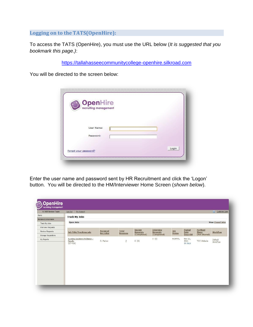**Logging on to the TATS(OpenHire):**

To access the TATS (OpenHire), you must use the URL below (*It is suggested that you bookmark this page.)*:

[https://tallahasseecommunitycollege-openhire.silkroad.com](https://tallahasseecommunitycollege-openhire.silkroad.com/)

You will be directed to the screen below:

| <b>OpenHire</b>       |       |  |
|-----------------------|-------|--|
|                       |       |  |
|                       |       |  |
| User Name:            |       |  |
| Password:             |       |  |
|                       |       |  |
| Forgot your password? | Login |  |

Enter the user name and password sent by HR Recruitment and click the 'Logon' button. You will be directed to the HM/Interviewer Home Screen (*shown below*).

| Hi, NUR Review Team           | My Account<br>Log Out                                    |                              |                         |                                  |                              |                      |                            |                                 | <b>Q</b> Customer Care  |
|-------------------------------|----------------------------------------------------------|------------------------------|-------------------------|----------------------------------|------------------------------|----------------------|----------------------------|---------------------------------|-------------------------|
| Home                          | <b>Track My Jobs</b>                                     |                              |                         |                                  |                              |                      |                            |                                 |                         |
| <b>Review &amp; Interview</b> |                                                          |                              |                         |                                  |                              |                      |                            |                                 |                         |
| Track My Jobs                 | <b>Open Jobs</b>                                         |                              |                         |                                  |                              |                      |                            |                                 | <b>View Closed Jobs</b> |
| Interview Requests            |                                                          |                              |                         |                                  |                              |                      |                            |                                 |                         |
| Review Requests               | <b>Job Title/Trackingcode</b>                            | <b>Assigned</b><br>Recruiter | Total<br><b>Resumes</b> | <b>Review</b><br><b>Requests</b> | Interview<br><b>Requests</b> | Job<br><b>Status</b> | Posted<br>Date             | <b>Farthest</b><br><b>Stage</b> | Workflow                |
| <b>Manage Requisitions</b>    |                                                          |                              |                         | (Completed)                      | (Completed)                  |                      | Days Old                   | (Not Shared)                    |                         |
| My Reports                    | Nursing Assistant Professor -<br>Faculty<br>$(27 - 429)$ | D. Parker                    | $\overline{z}$          | 0(0)                             | 0(0)                         | NORMAL               | Nov 21,<br>2011<br>59 days | TCC Website                     | Default<br>Workflow     |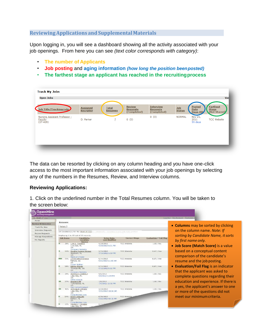#### **ReviewingApplications andSupplementalMaterials**

Upon logging in, you will see a dashboard showing all the activity associated with your job openings. From here you can see *(text color corresponds with category)*:

- **The number of Applicants**
- **Job posting** and **aging information** *(how long the position beenposted)*
- **The farthest stage an applicant has reached in the recruitingprocess**

| <b>Open Jobs</b>                                       |                                     |                                |                                                 |                                                    |                      |                                          | Vie                                             |
|--------------------------------------------------------|-------------------------------------|--------------------------------|-------------------------------------------------|----------------------------------------------------|----------------------|------------------------------------------|-------------------------------------------------|
| Job Title/Trackingcode                                 | <b>Assigned</b><br><b>Recruiter</b> | <b>Total</b><br><b>Resumes</b> | <b>Review</b><br><b>Requests</b><br>(Completed) | <b>Interview</b><br><b>Requests</b><br>(Completed) | Job<br><b>Status</b> | <b>Posted</b><br><b>Date</b><br>Days Old | <b>Farthest</b><br><b>Stage</b><br>(Not Shared) |
| Nursing Assistant Professor -<br>Faculty<br>$(27-429)$ | D. Parker                           | z                              | 0(0)                                            | 0(0)                                               | <b>NORMAL</b>        | Nov 21,<br>2011<br>59 days               | <b>TCC</b> Website                              |
|                                                        |                                     |                                |                                                 |                                                    |                      |                                          |                                                 |

The data can be resorted by clicking on any column heading and you have one-click access to the most important information associated with your job openings by selecting any of the numbers in the Resumes, Review, and Interview columns.

#### **Reviewing Applications:**

1. Click on the underlined number in the Total Resumes column. You will be taken to the screen below:

| H. GEAR UP Coa                    |           |                                                                                              |                                 |                      |                        | Loa Out My Account Customer 9                                                 |
|-----------------------------------|-----------|----------------------------------------------------------------------------------------------|---------------------------------|----------------------|------------------------|-------------------------------------------------------------------------------|
| Hintse                            |           |                                                                                              |                                 |                      |                        |                                                                               |
| <b>Review &amp; Interview</b>     | Resumes   |                                                                                              |                                 |                      |                        |                                                                               |
| Track My Jobs                     | Return 1  |                                                                                              |                                 |                      |                        | • Columns may be sorted by clicking                                           |
| Interview Requests                |           |                                                                                              |                                 |                      |                        |                                                                               |
| Review Requests                   |           | 19 Candidate(s) for the CEAR UP Coach - CRODOS75 - Country County (48-429) position          |                                 |                      |                        | on the column name. Note: If                                                  |
|                                   |           | Deploying 1 to 19 out of 19 records.                                                         |                                 |                      |                        | sorting by Candidate Name, it sorts                                           |
| Manage Requisitions<br>My Reports | Job Score | Candidate.<br>Location.                                                                      | Enter Date,<br>Last Modified    | <b>Current Stage</b> | Evaluation / Fail Flag | by first name only.                                                           |
|                                   |           | Saurice<br><b>B 20% Luis A. Fonseca</b><br>Live Dak, FL<br>11%                               | 9/20/2012<br>9/20/2012 6:21 PM  | TCC Website          | 2.007788               | • Job Score (Match Score) is a value                                          |
|                                   |           | Company Wobsite<br>14% Sandra Yvonne Skinner<br>Welborn, FL<br><b>US</b><br>Michael Christie | 9/35/2012<br>9/15/2012 5:53 PM  | <b>TCC Website</b>   | $0.67$ / $\sqrt{a}$ s  | based on a conceptual content<br>comparison of the candidate's                |
|                                   | $-72%$    | LaTravietta Florence<br>Pelham, GA<br>US:<br>Career Bullder                                  | 9/14/2012<br>9/21/2012 11:00 AM | <b>TCC Website</b>   | $0.67$ / Yes           | resume and the job posting.                                                   |
|                                   | 18%       | Ashley Mervin<br>Thomasville, GA<br>18.<br>Company Website                                   | Q/11/2012<br>9/11/2012 8:52 PM  | <b>TEE Website</b>   | $0.87 1$ Yes           | • Evaluation/Fail Flag is an indicator<br>that the applicant was asked to     |
|                                   | 29%       | DERORAIN CODROLO<br>Lake City, FL<br><b>USC</b><br>Other source                              | 926/3012<br>4/6/2012 3:29 PM    | TCC Website          | $2.00 \pm 0.6$         | complete questions regarding their                                            |
|                                   | 37%       | Brandon Hill<br>Talahaspoo, FL<br>115<br>Print Advertisement                                 | 7/8/2012<br>2/6/2012 12:32 PM   | <b>TCC Wabsite</b>   | 2.00 / Rn              | education and experience. If there is<br>a yes, the applicant's answer to one |
|                                   |           | 41% Antongula Williams<br>Lake City, FL<br>US:<br>CareerBulcer.com                           | 6/29/2012<br>9/21/2012 10:31 AM | <b>TCC Website</b>   | 3.00 / Rb              | or more of the questions did not                                              |
|                                   |           | 24% SCOTT KILLIAN<br>Barbow, FL<br>11%<br>Caree Bulcer.com                                   | 6/25/2012<br>9/21/2012 10:18 AM | <b>TEC Website</b>   |                        | meet our minimum criteria.                                                    |
|                                   | $-2266$   | Frederic T Douglas<br>Leke City, FL                                                          | 6714326                         |                      |                        |                                                                               |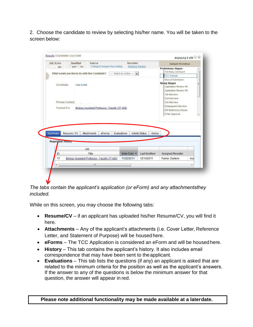2. Choose the candidate to review by selecting his/her name. You will be taken to the screen below:

|                                                   | Qualified                                                  | Source                                                                                  | Recruiter                                               |                                                                  | <b>Default Workflow</b>                                                                                                                                                                           |      |
|---------------------------------------------------|------------------------------------------------------------|-----------------------------------------------------------------------------------------|---------------------------------------------------------|------------------------------------------------------------------|---------------------------------------------------------------------------------------------------------------------------------------------------------------------------------------------------|------|
| 4%                                                | $ves$ no<br>What would you like to do with this Candidate? | <b>College/Campus Recruiting</b>                                                        | Darlene Parker<br>-Select an Action -<br>$\blacksquare$ |                                                                  | <b>Preliminary Stages</b><br>3rd Party Job Board                                                                                                                                                  |      |
|                                                   |                                                            |                                                                                         |                                                         |                                                                  | <b>TCC Website</b>                                                                                                                                                                                |      |
| Candidate:<br>Tracked For:                        | <b>Lisa Conti</b><br>Primary Contact:                      | Biology Assistant Professor - Faculty (17-429)                                          |                                                         |                                                                  | <b>Hiring Stages</b><br>Application Review HR<br>Application Review HM<br>1st Interview<br>2nd Interview<br>3rd Interview<br>Subsequent Interview<br><b>HM Reference Checks</b><br>Offer Approval |      |
|                                                   |                                                            |                                                                                         |                                                         |                                                                  |                                                                                                                                                                                                   |      |
| Summary<br><b>Requisition HIStory</b><br>ID<br>17 | Resume / CV                                                | Attachments<br>eForms<br>Job<br>Title<br>Biology Assistant Professor - Faculty (17-429) | Evaluations<br>Enter Date -<br>11/22/2011               | <b>Activity Status</b><br>History<br>Last Modified<br>12/14/2011 | Assigned Recruiter<br>Parker, Darlene                                                                                                                                                             | Acal |
| $\triangleleft$                                   |                                                            | m                                                                                       |                                                         |                                                                  |                                                                                                                                                                                                   | r    |

*The tabs contain the applicant's application (or eForm) and any attachmentsthey included.*

While on this screen, you may choose the following tabs:

- **Resume/CV**  if an applicant has uploaded his/her Resume/CV, you will find it here.
- **Attachments**  Any of the applicant's attachments (i.e. Cover Letter, Reference Letter, and Statement of Purpose) will be housed here.
- **eForms**  The TCC Application is considered an eForm and will be housed here.
- **History**  This tab contains the applicant's history. It also includes email correspondence that may have been sent to theapplicant.
- **Evaluations**  This tab lists the questions (if any) an applicant is asked that are related to the minimum criteria for the position as well as the applicant's answers. If the answer to any of the questions is below the minimum answer for that question, the answer will appear in red.